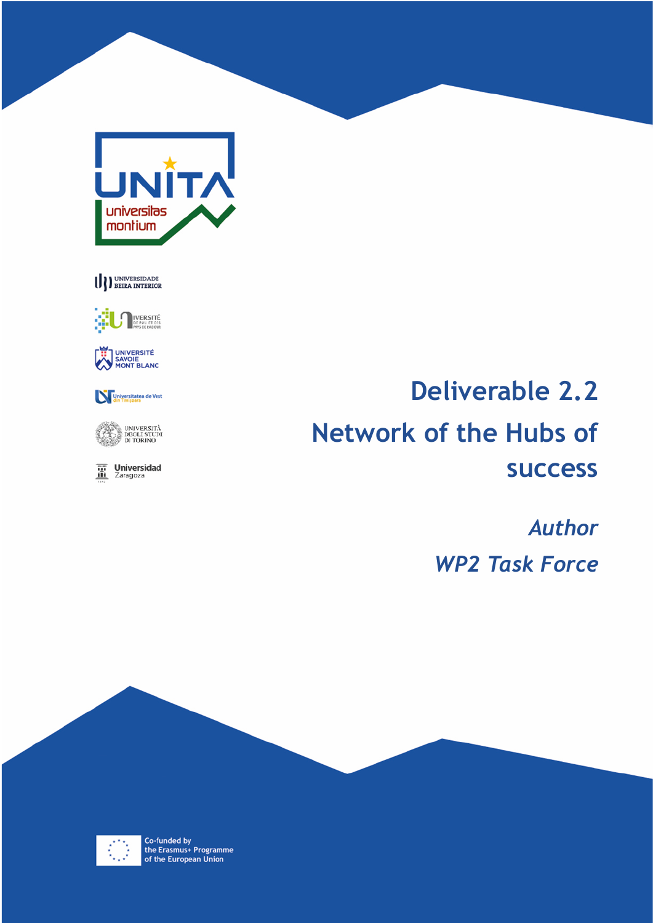

# U DEERA INTERIOR



UNIVERSITÉ<br>SAVOIE<br>MONT BLANC



UNIVERSITÀ<br>DEGLI STUDI<br>DI TORINO 1979

 $\overline{\mathbf{m}}$  Universidad

# **Deliverable 2.2 Network of the Hubs of success**

*Author WP2 Task Force*



Co-funded by<br>the Erasmus+ Programme<br>of the European Union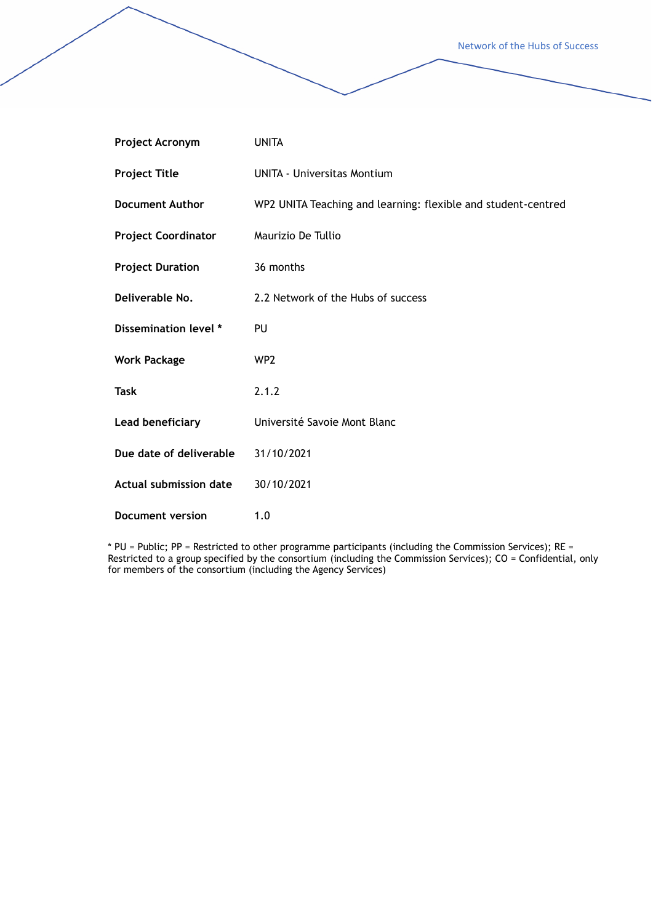Network of the Hubs of Success

| Project Acronym               | <b>UNITA</b>                                                  |
|-------------------------------|---------------------------------------------------------------|
| <b>Project Title</b>          | <b>UNITA - Universitas Montium</b>                            |
| <b>Document Author</b>        | WP2 UNITA Teaching and learning: flexible and student-centred |
| <b>Project Coordinator</b>    | Maurizio De Tullio                                            |
| <b>Project Duration</b>       | 36 months                                                     |
| Deliverable No.               | 2.2 Network of the Hubs of success                            |
| Dissemination level *         | PU                                                            |
| <b>Work Package</b>           | WP <sub>2</sub>                                               |
| Task                          | 2.1.2                                                         |
| Lead beneficiary              | Université Savoie Mont Blanc                                  |
| Due date of deliverable       | 31/10/2021                                                    |
| <b>Actual submission date</b> | 30/10/2021                                                    |
| <b>Document version</b>       | 1.0                                                           |

\* PU = Public; PP = Restricted to other programme participants (including the Commission Services); RE = Restricted to a group specified by the consortium (including the Commission Services); CO = Confidential, only for members of the consortium (including the Agency Services)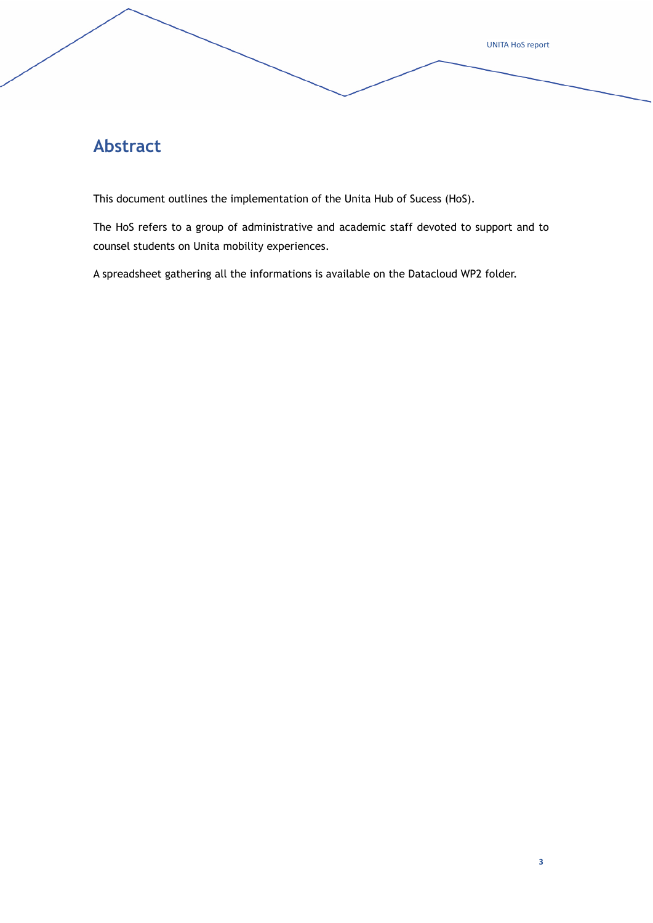**Abstract**

This document outlines the implementation of the Unita Hub of Sucess (HoS).

The HoS refers to a group of administrative and academic staff devoted to support and to counsel students on Unita mobility experiences.

A spreadsheet gathering all the informations is available on the Datacloud WP2 folder.

UNITA HoS report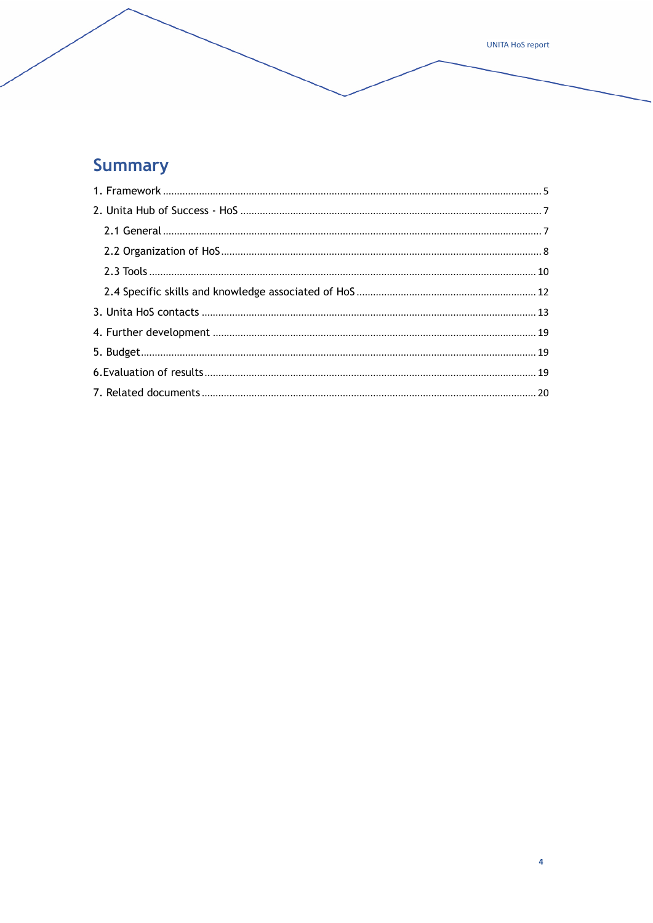# **Summary**

UNITA HoS report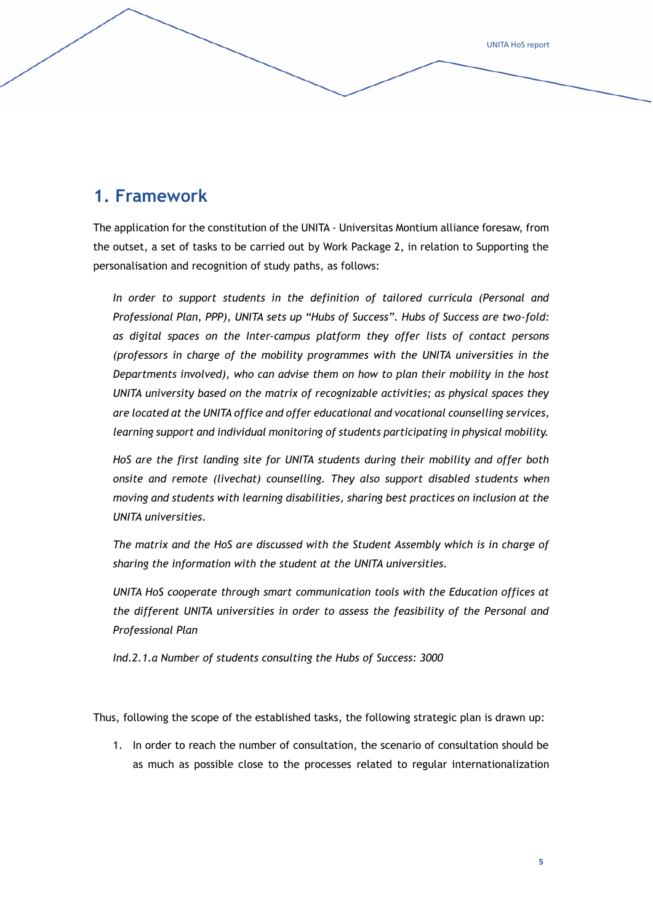## **1. Framework**

The application for the constitution of the UNITA - Universitas Montium alliance foresaw, from the outset, a set of tasks to be carried out by Work Package 2, in relation to Supporting the personalisation and recognition of study paths, as follows:

In order to support students in the definition of tailored curricula (Personal and *Professional Plan, PPP), UNITA sets up "Hubs of Success". Hubs of Success are two-fold: as digital spaces on the Inter-campus platform they offer lists of contact persons (professors in charge of the mobility programmes with the UNITA universities in the Departments involved), who can advise them on how to plan their mobility in the host UNITA university based on the matrix of recognizable activities; as physical spaces they are located at the UNITA office and offer educational and vocational counselling services, learning support and individual monitoring of students participating in physical mobility.*

*HoS are the first landing site for UNITA students during their mobility and offer both onsite and remote (livechat) counselling. They also support disabled students when moving and students with learning disabilities, sharing best practices on inclusion at the UNITA universities.*

*The matrix and the HoS are discussed with the Student Assembly which is in charge of sharing the information with the student at the UNITA universities.*

UNITA HoS cooperate through smart communication tools with the Education offices at *the different UNITA universities in order to assess the feasibility of the Personal and Professional Plan*

*Ind.2.1.a Number of students consulting the Hubs of Success: 3000*

Thus, following the scope of the established tasks, the following strategic plan is drawn up:

1. In order to reach the number of consultation, the scenario of consultation should be as much as possible close to the processes related to regular internationalization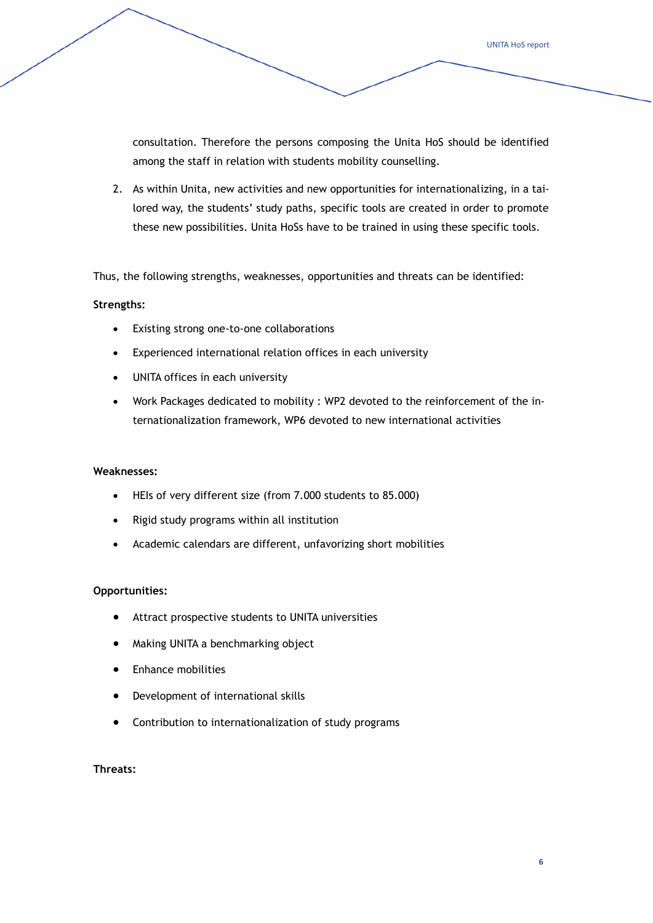consultation. Therefore the persons composing the Unita HoS should be identified among the staff in relation with students mobility counselling.

2. As within Unita, new activities and new opportunities for internationalizing, in a tailored way, the students' study paths, specific tools are created in order to promote these new possibilities. Unita HoSs have to be trained in using these specific tools.

Thus, the following strengths, weaknesses, opportunities and threats can be identified:

#### **Strengths:**

- Existing strong one-to-one collaborations
- Experienced international relation offices in each university
- UNITA offices in each university
- Work Packages dedicated to mobility : WP2 devoted to the reinforcement of the internationalization framework, WP6 devoted to new international activities

#### **Weaknesses:**

- HEIs of very different size (from 7.000 students to 85.000)
- Rigid study programs within all institution
- Academic calendars are different, unfavorizing short mobilities

#### **Opportunities:**

- Attract prospective students to UNITA universities
- Making UNITA a benchmarking object
- Enhance mobilities
- Development of international skills
- Contribution to internationalization of study programs

#### **Threats:**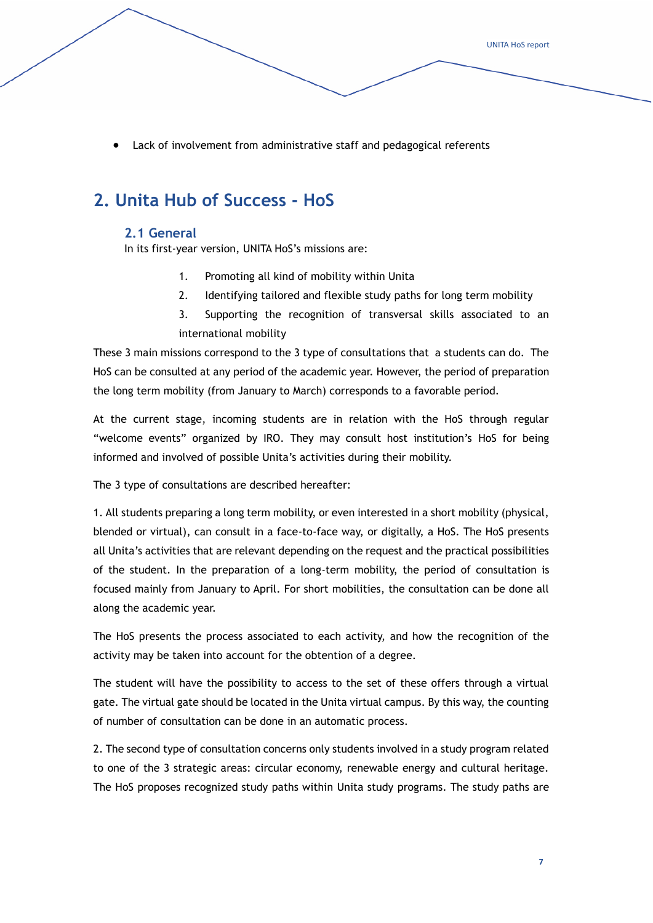UNITA HoS report

• Lack of involvement from administrative staff and pedagogical referents

### **2. Unita Hub of Success - HoS**

#### **2.1 General**

In its first-year version, UNITA HoS's missions are:

- 1. Promoting all kind of mobility within Unita
- 2. Identifying tailored and flexible study paths for long term mobility
- 3. Supporting the recognition of transversal skills associated to an international mobility

These 3 main missions correspond to the 3 type of consultations that a students can do. The HoS can be consulted at any period of the academic year. However, the period of preparation the long term mobility (from January to March) corresponds to a favorable period.

At the current stage, incoming students are in relation with the HoS through regular "welcome events" organized by IRO. They may consult host institution's HoS for being informed and involved of possible Unita's activities during their mobility.

The 3 type of consultations are described hereafter:

1. All students preparing a long term mobility, or even interested in a short mobility (physical, blended or virtual), can consult in a face-to-face way, or digitally, a HoS. The HoS presents all Unita's activities that are relevant depending on the request and the practical possibilities of the student. In the preparation of a long-term mobility, the period of consultation is focused mainly from January to April. For short mobilities, the consultation can be done all along the academic year.

The HoS presents the process associated to each activity, and how the recognition of the activity may be taken into account for the obtention of a degree.

The student will have the possibility to access to the set of these offers through a virtual gate. The virtual gate should be located in the Unita virtual campus. By this way, the counting of number of consultation can be done in an automatic process.

2. The second type of consultation concerns only students involved in a study program related to one of the 3 strategic areas: circular economy, renewable energy and cultural heritage. The HoS proposes recognized study paths within Unita study programs. The study paths are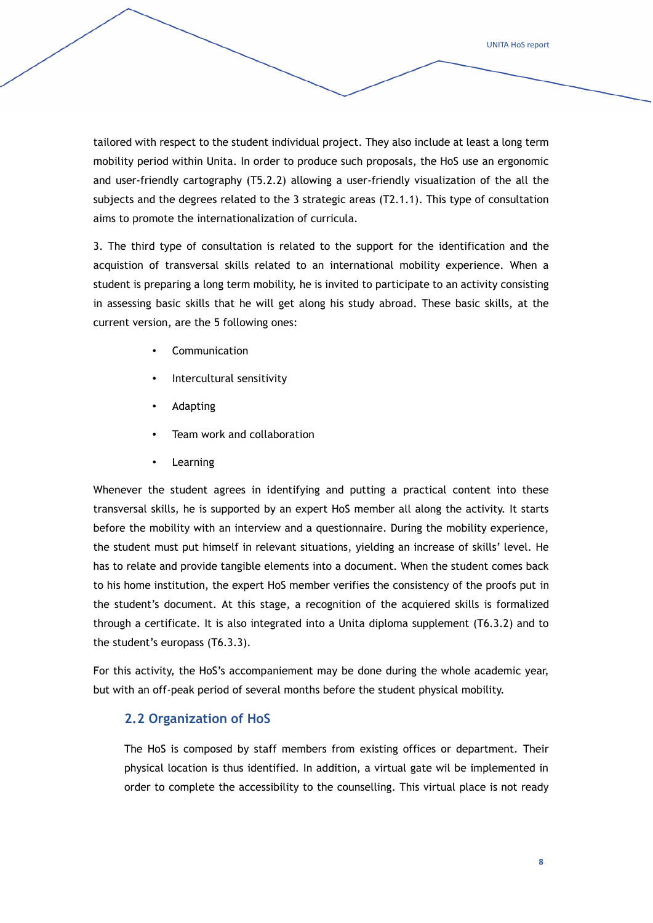UNITA HoS report

tailored with respect to the student individual project. They also include at least a long term mobility period within Unita. In order to produce such proposals, the HoS use an ergonomic and user-friendly cartography (T5.2.2) allowing a user-friendly visualization of the all the subjects and the degrees related to the 3 strategic areas (T2.1.1). This type of consultation aims to promote the internationalization of curricula.

3. The third type of consultation is related to the support for the identification and the acquistion of transversal skills related to an international mobility experience. When a student is preparing a long term mobility, he is invited to participate to an activity consisting in assessing basic skills that he will get along his study abroad. These basic skills, at the current version, are the 5 following ones:

- Communication
- Intercultural sensitivity
- **Adapting**
- Team work and collaboration
- **Learning**

Whenever the student agrees in identifying and putting a practical content into these transversal skills, he is supported by an expert HoS member all along the activity. It starts before the mobility with an interview and a questionnaire. During the mobility experience, the student must put himself in relevant situations, yielding an increase of skills' level. He has to relate and provide tangible elements into a document. When the student comes back to his home institution, the expert HoS member verifies the consistency of the proofs put in the student's document. At this stage, a recognition of the acquiered skills is formalized through a certificate. It is also integrated into a Unita diploma supplement (T6.3.2) and to the student's europass (T6.3.3).

For this activity, the HoS's accompaniement may be done during the whole academic year, but with an off-peak period of several months before the student physical mobility.

#### **2.2 Organization of HoS**

The HoS is composed by staff members from existing offices or department. Their physical location is thus identified. In addition, a virtual gate wil be implemented in order to complete the accessibility to the counselling. This virtual place is not ready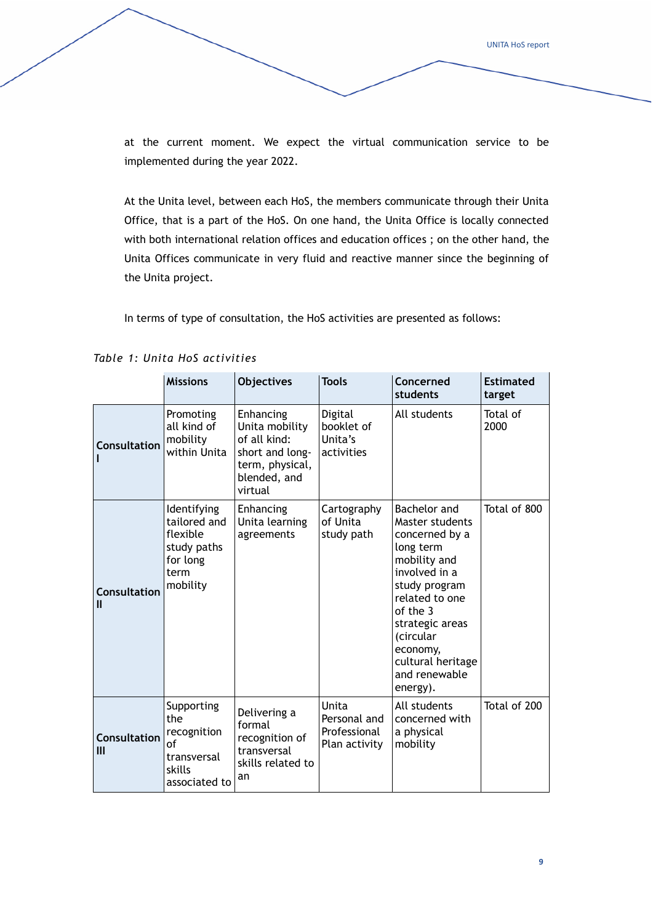UNITA HoS report

at the current moment. We expect the virtual communication service to be implemented during the year 2022.

At the Unita level, between each HoS, the members communicate through their Unita Office, that is a part of the HoS. On one hand, the Unita Office is locally connected with both international relation offices and education offices ; on the other hand, the Unita Offices communicate in very fluid and reactive manner since the beginning of the Unita project.

In terms of type of consultation, the HoS activities are presented as follows:

|                            | <b>Missions</b>                                                                        | <b>Objectives</b>                                                                                            | <b>Tools</b>                                           | Concerned<br>students                                                                                                                                                                                                                        | <b>Estimated</b><br>target |
|----------------------------|----------------------------------------------------------------------------------------|--------------------------------------------------------------------------------------------------------------|--------------------------------------------------------|----------------------------------------------------------------------------------------------------------------------------------------------------------------------------------------------------------------------------------------------|----------------------------|
| <b>Consultation</b>        | Promoting<br>all kind of<br>mobility<br>within Unita                                   | Enhancing<br>Unita mobility<br>of all kind:<br>short and long-<br>term, physical,<br>blended, and<br>virtual | Digital<br>booklet of<br>Unita's<br>activities         | All students                                                                                                                                                                                                                                 | Total of<br>2000           |
| <b>Consultation</b><br>Ш   | Identifying<br>tailored and<br>flexible<br>study paths<br>for long<br>term<br>mobility | Enhancing<br>Unita learning<br>agreements                                                                    | Cartography<br>of Unita<br>study path                  | Bachelor and<br>Master students<br>concerned by a<br>long term<br>mobility and<br>involved in a<br>study program<br>related to one<br>of the 3<br>strategic areas<br>(circular<br>economy,<br>cultural heritage<br>and renewable<br>energy). | Total of 800               |
| <b>Consultation</b><br>III | Supporting<br>the<br>recognition<br>οf<br>transversal<br>skills<br>associated to       | Delivering a<br>formal<br>recognition of<br>transversal<br>skills related to<br>an                           | Unita<br>Personal and<br>Professional<br>Plan activity | All students<br>concerned with<br>a physical<br>mobility                                                                                                                                                                                     | Total of 200               |

|  |  | Table 1: Unita HoS activities |
|--|--|-------------------------------|
|  |  |                               |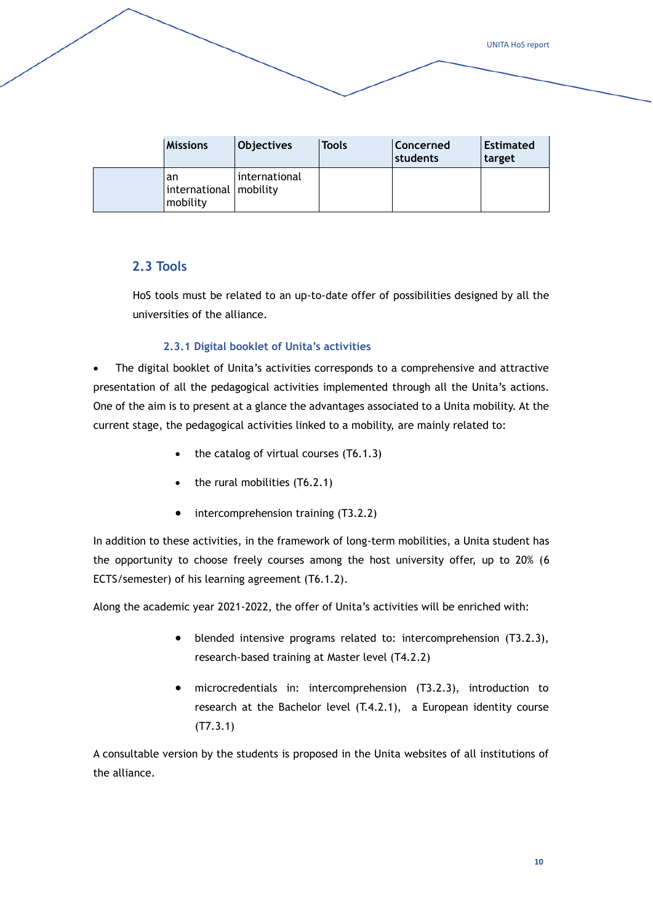| <b>Missions</b>                            | <b>Objectives</b> | Tools | Concerned<br>students | <b>Estimated</b><br>target |
|--------------------------------------------|-------------------|-------|-----------------------|----------------------------|
| an<br>international   mobility<br>mobility | international     |       |                       |                            |

#### **2.3 Tools**

HoS tools must be related to an up-to-date offer of possibilities designed by all the universities of the alliance.

#### **2.3.1 Digital booklet of Unita's activities**

• The digital booklet of Unita's activities corresponds to a comprehensive and attractive presentation of all the pedagogical activities implemented through all the Unita's actions. One of the aim is to present at a glance the advantages associated to a Unita mobility. At the current stage, the pedagogical activities linked to a mobility, are mainly related to:

- the catalog of virtual courses  $(T6.1.3)$
- the rural mobilities (T6.2.1)
- intercomprehension training (T3.2.2)

In addition to these activities, in the framework of long-term mobilities, a Unita student has the opportunity to choose freely courses among the host university offer, up to 20% (6 ECTS/semester) of his learning agreement (T6.1.2).

Along the academic year 2021-2022, the offer of Unita's activities will be enriched with:

- blended intensive programs related to: intercomprehension (T3.2.3), research-based training at Master level (T4.2.2)
- microcredentials in: intercomprehension (T3.2.3), introduction to research at the Bachelor level (T.4.2.1), a European identity course (T7.3.1)

A consultable version by the students is proposed in the Unita websites of all institutions of the alliance.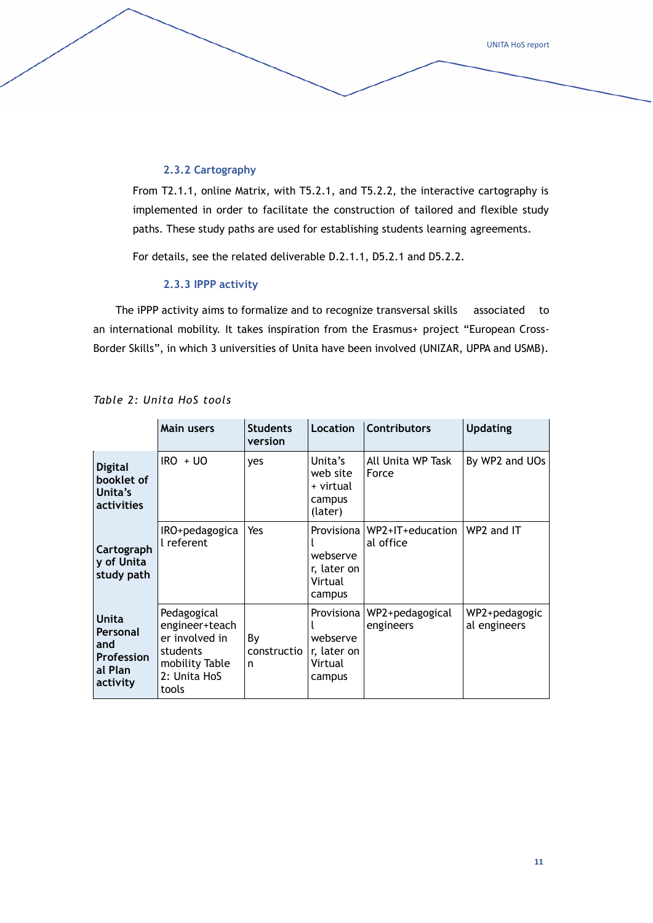#### **2.3.2 Cartography**

From T2.1.1, online Matrix, with T5.2.1, and T5.2.2, the interactive cartography is implemented in order to facilitate the construction of tailored and flexible study paths. These study paths are used for establishing students learning agreements.

For details, see the related deliverable D.2.1.1, D5.2.1 and D5.2.2.

#### **2.3.3 IPPP activity**

The iPPP activity aims to formalize and to recognize transversal skills associated to an international mobility. It takes inspiration from the Erasmus+ project "European Cross-Border Skills", in which 3 universities of Unita have been involved (UNIZAR, UPPA and USMB).

|                                                                      | <b>Main users</b>                                                                                      | <b>Students</b><br>version | Location                                                   | <b>Contributors</b>           | <b>Updating</b>               |
|----------------------------------------------------------------------|--------------------------------------------------------------------------------------------------------|----------------------------|------------------------------------------------------------|-------------------------------|-------------------------------|
| <b>Digital</b><br>booklet of<br>Unita's<br>activities                | $IRO + UO$                                                                                             | yes                        | Unita's<br>web site<br>+ virtual<br>campus<br>(later)      | All Unita WP Task<br>Force    | By WP2 and UOs                |
| Cartograph<br>y of Unita<br>study path                               | IRO+pedagogica<br>l referent                                                                           | Yes                        | Provisiona<br>webserve<br>r, later on<br>Virtual<br>campus | WP2+IT+education<br>al office | WP2 and IT                    |
| Unita<br>Personal<br>and<br><b>Profession</b><br>al Plan<br>activity | Pedagogical<br>engineer+teach<br>er involved in<br>students<br>mobility Table<br>2: Unita HoS<br>tools | By<br>constructio<br>n     | Provisiona<br>webserve<br>r, later on<br>Virtual<br>campus | WP2+pedagogical<br>engineers  | WP2+pedagogic<br>al engineers |

*Table 2: Unita HoS tools*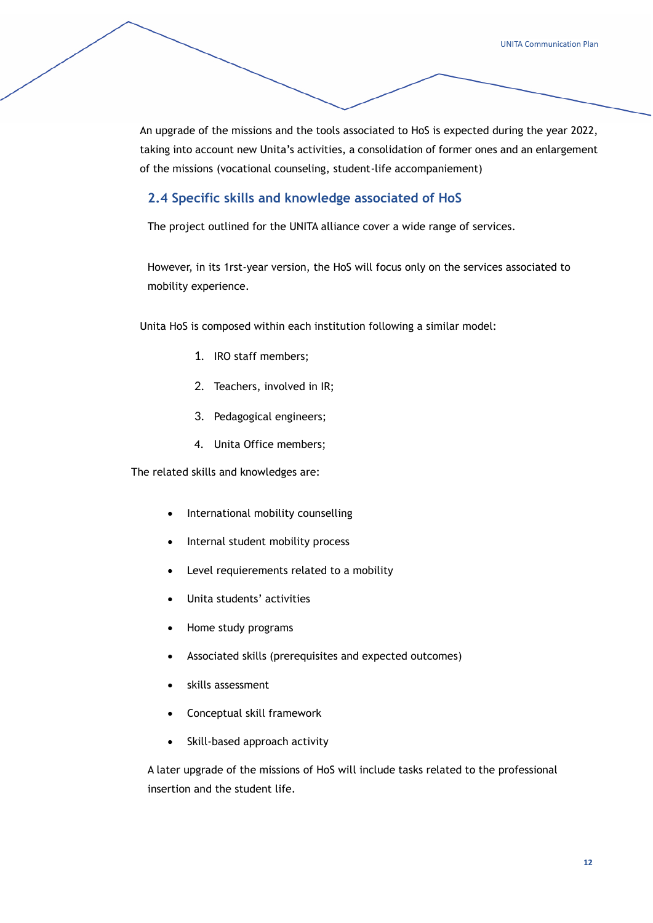An upgrade of the missions and the tools associated to HoS is expected during the year 2022, taking into account new Unita's activities, a consolidation of former ones and an enlargement of the missions (vocational counseling, student-life accompaniement)

#### **2.4 Specific skills and knowledge associated of HoS**

The project outlined for the UNITA alliance cover a wide range of services.

However, in its 1rst-year version, the HoS will focus only on the services associated to mobility experience.

Unita HoS is composed within each institution following a similar model:

- 1. IRO staff members;
- 2. Teachers, involved in IR;
- 3. Pedagogical engineers;
- 4. Unita Office members;

The related skills and knowledges are:

- International mobility counselling
- Internal student mobility process
- Level requierements related to a mobility
- Unita students' activities
- Home study programs
- Associated skills (prerequisites and expected outcomes)
- skills assessment
- Conceptual skill framework
- Skill-based approach activity

A later upgrade of the missions of HoS will include tasks related to the professional insertion and the student life.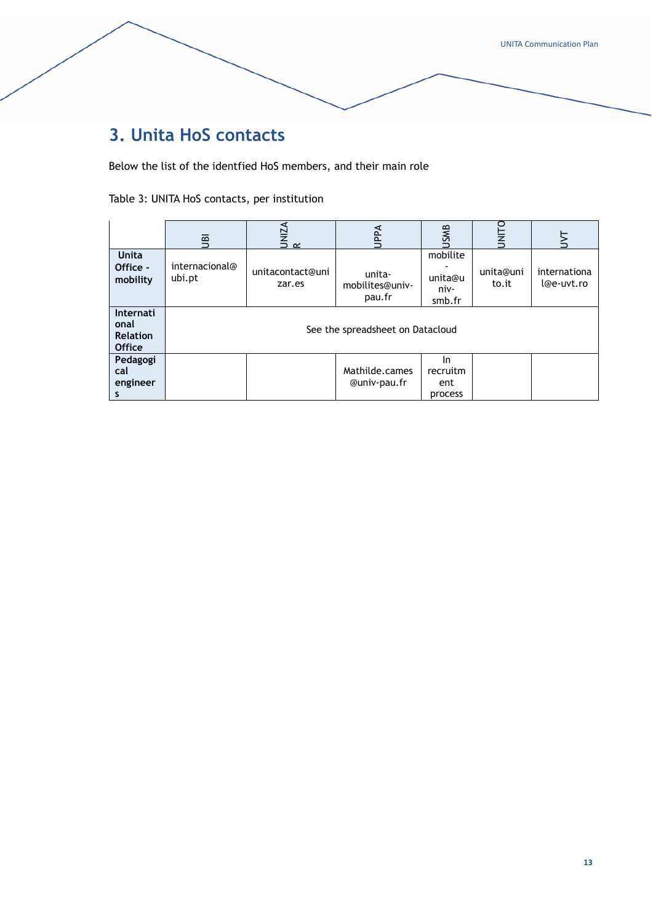# **3. Unita HoS contacts**

Below the list of the identfied HoS members, and their main role

Table 3: UNITA HoS contacts, per institution

|                                                              | 亶                        | UNIZA<br>R                 | Add                                 | <b>JSMB</b>                             | <b>UNITO</b>       |                            |
|--------------------------------------------------------------|--------------------------|----------------------------|-------------------------------------|-----------------------------------------|--------------------|----------------------------|
| <b>Unita</b><br>Office -<br>mobility                         | internacional@<br>ubi.pt | unitacontact@uni<br>zar.es | unita-<br>mobilites@univ-<br>pau.fr | mobilite<br>unita@u<br>niv-<br>smb.fr   | unita@uni<br>to.it | internationa<br>l@e-uvt.ro |
| <b>Internati</b><br>onal<br><b>Relation</b><br><b>Office</b> |                          |                            | See the spreadsheet on Datacloud    |                                         |                    |                            |
| Pedagogi<br>cal<br>engineer<br>s                             |                          |                            | Mathilde.cames<br>@univ-pau.fr      | <b>In</b><br>recruitm<br>ent<br>process |                    |                            |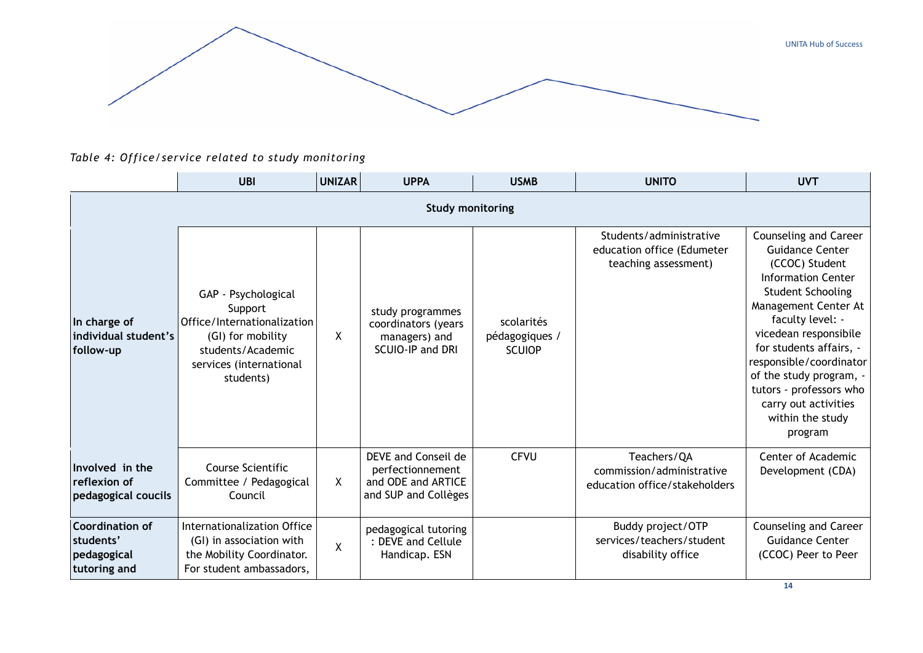

*Table 4: Office/service related to study monitoring*

|                                                                    | <b>UBI</b>                                                                                                                                      | <b>UNIZAR</b> | <b>UPPA</b>                                                                           | <b>USMB</b>                                   | <b>UNITO</b>                                                                  | <b>UVT</b>                                                                                                                                                                                                                                                                                                                                                         |  |  |  |  |  |
|--------------------------------------------------------------------|-------------------------------------------------------------------------------------------------------------------------------------------------|---------------|---------------------------------------------------------------------------------------|-----------------------------------------------|-------------------------------------------------------------------------------|--------------------------------------------------------------------------------------------------------------------------------------------------------------------------------------------------------------------------------------------------------------------------------------------------------------------------------------------------------------------|--|--|--|--|--|
|                                                                    | <b>Study monitoring</b>                                                                                                                         |               |                                                                                       |                                               |                                                                               |                                                                                                                                                                                                                                                                                                                                                                    |  |  |  |  |  |
| In charge of<br>individual student's<br>follow-up                  | GAP - Psychological<br>Support<br>Office/Internationalization<br>(GI) for mobility<br>students/Academic<br>services (international<br>students) | X             | study programmes<br>coordinators (years<br>managers) and<br>SCUIO-IP and DRI          | scolarités<br>pédagogiques /<br><b>SCUIOP</b> | Students/administrative<br>education office (Edumeter<br>teaching assessment) | Counseling and Career<br><b>Guidance Center</b><br>(CCOC) Student<br><b>Information Center</b><br><b>Student Schooling</b><br>Management Center At<br>faculty level: -<br>vicedean responsibile<br>for students affairs, -<br>responsible/coordinator<br>of the study program, -<br>tutors - professors who<br>carry out activities<br>within the study<br>program |  |  |  |  |  |
| Involved in the<br>reflexion of<br>pedagogical coucils             | Course Scientific<br>Committee / Pedagogical<br>Council                                                                                         | X             | DEVE and Conseil de<br>perfectionnement<br>and ODE and ARTICE<br>and SUP and Collèges | <b>CFVU</b>                                   | Teachers/QA<br>commission/administrative<br>education office/stakeholders     | Center of Academic<br>Development (CDA)                                                                                                                                                                                                                                                                                                                            |  |  |  |  |  |
| <b>Coordination of</b><br>students'<br>pedagogical<br>tutoring and | Internationalization Office<br>(GI) in association with<br>the Mobility Coordinator.<br>For student ambassadors,                                | χ             | pedagogical tutoring<br>: DEVE and Cellule<br>Handicap. ESN                           |                                               | Buddy project/OTP<br>services/teachers/student<br>disability office           | Counseling and Career<br><b>Guidance Center</b><br>(CCOC) Peer to Peer                                                                                                                                                                                                                                                                                             |  |  |  |  |  |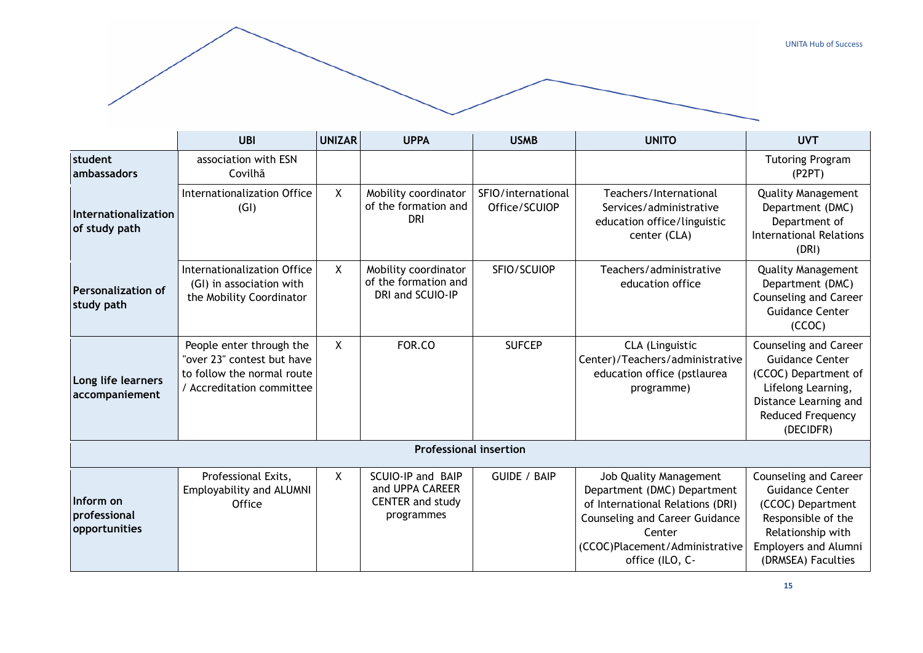

|                                            | <b>UBI</b>                                                                                                        | <b>UNIZAR</b>                                                                                                                   | <b>UPPA</b>                                                                   | <b>USMB</b>                                                                                                                                              | <b>UNITO</b>                                                                                                                                                                                      | <b>UVT</b>                                                                                                                                                           |
|--------------------------------------------|-------------------------------------------------------------------------------------------------------------------|---------------------------------------------------------------------------------------------------------------------------------|-------------------------------------------------------------------------------|----------------------------------------------------------------------------------------------------------------------------------------------------------|---------------------------------------------------------------------------------------------------------------------------------------------------------------------------------------------------|----------------------------------------------------------------------------------------------------------------------------------------------------------------------|
| student<br>ambassadors                     | association with ESN<br>Covilhã                                                                                   |                                                                                                                                 |                                                                               |                                                                                                                                                          |                                                                                                                                                                                                   | <b>Tutoring Program</b><br>(P2PT)                                                                                                                                    |
| Internationalization<br>of study path      | Internationalization Office<br>(GI)                                                                               | X                                                                                                                               | Mobility coordinator<br>of the formation and<br><b>DRI</b>                    | SFIO/international<br>Office/SCUIOP                                                                                                                      | Teachers/International<br>Services/administrative<br>education office/linguistic<br>center (CLA)                                                                                                  | <b>Quality Management</b><br>Department (DMC)<br>Department of<br><b>International Relations</b><br>(DRI)                                                            |
| <b>Personalization of</b><br>study path    | Internationalization Office<br>(GI) in association with<br>the Mobility Coordinator                               | X.                                                                                                                              | Mobility coordinator<br>of the formation and<br>DRI and SCUIO-IP              | SFIO/SCUIOP                                                                                                                                              | Teachers/administrative<br>education office                                                                                                                                                       | <b>Quality Management</b><br>Department (DMC)<br>Counseling and Career<br><b>Guidance Center</b><br>(CCOC)                                                           |
| Long life learners<br>accompaniement       | People enter through the<br>"over 23" contest but have<br>to follow the normal route<br>/ Accreditation committee | X<br>FOR.CO<br><b>SUFCEP</b><br>CLA (Linguistic<br>Center)/Teachers/administrative<br>education office (pstlaurea<br>programme) |                                                                               | Counseling and Career<br><b>Guidance Center</b><br>(CCOC) Department of<br>Lifelong Learning,<br>Distance Learning and<br>Reduced Frequency<br>(DECIDFR) |                                                                                                                                                                                                   |                                                                                                                                                                      |
|                                            |                                                                                                                   |                                                                                                                                 | <b>Professional insertion</b>                                                 |                                                                                                                                                          |                                                                                                                                                                                                   |                                                                                                                                                                      |
| Inform on<br>professional<br>opportunities | Professional Exits,<br>Employability and ALUMNI<br>Office                                                         | X                                                                                                                               | SCUIO-IP and BAIP<br>and UPPA CAREER<br><b>CENTER and study</b><br>programmes | <b>GUIDE / BAIP</b>                                                                                                                                      | Job Quality Management<br>Department (DMC) Department<br>of International Relations (DRI)<br><b>Counseling and Career Guidance</b><br>Center<br>(CCOC)Placement/Administrative<br>office (ILO, C- | Counseling and Career<br><b>Guidance Center</b><br>(CCOC) Department<br>Responsible of the<br>Relationship with<br><b>Employers and Alumni</b><br>(DRMSEA) Faculties |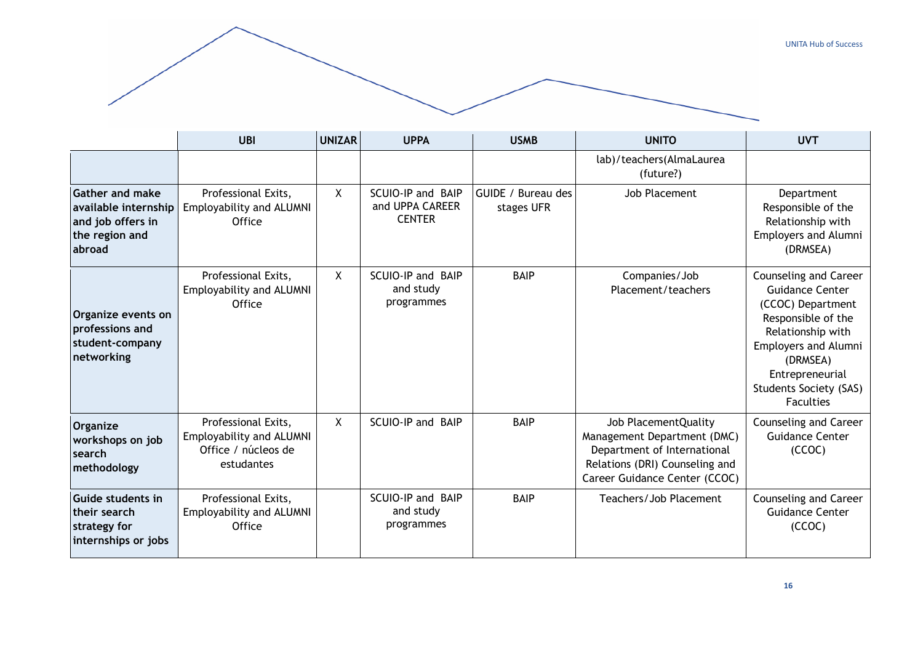

|                                                                                                 | <b>UBI</b>                                                                           | <b>UNIZAR</b> | <b>UPPA</b>                                           | <b>USMB</b>                      | <b>UNITO</b>                                                                                                                                          | <b>UVT</b>                                                                                                                                                                                                                  |
|-------------------------------------------------------------------------------------------------|--------------------------------------------------------------------------------------|---------------|-------------------------------------------------------|----------------------------------|-------------------------------------------------------------------------------------------------------------------------------------------------------|-----------------------------------------------------------------------------------------------------------------------------------------------------------------------------------------------------------------------------|
|                                                                                                 |                                                                                      |               |                                                       |                                  | lab)/teachers(AlmaLaurea<br>(future?)                                                                                                                 |                                                                                                                                                                                                                             |
| <b>Gather and make</b><br>available internship<br>and job offers in<br>the region and<br>abroad | Professional Exits,<br>Employability and ALUMNI<br>Office                            | X             | SCUIO-IP and BAIP<br>and UPPA CAREER<br><b>CENTER</b> | GUIDE / Bureau des<br>stages UFR | Job Placement                                                                                                                                         | Department<br>Responsible of the<br>Relationship with<br><b>Employers and Alumni</b><br>(DRMSEA)                                                                                                                            |
| Organize events on<br>professions and<br>student-company<br>networking                          | Professional Exits,<br>Employability and ALUMNI<br>Office                            | X             | SCUIO-IP and BAIP<br>and study<br>programmes          | <b>BAIP</b>                      | Companies/Job<br>Placement/teachers                                                                                                                   | Counseling and Career<br>Guidance Center<br>(CCOC) Department<br>Responsible of the<br>Relationship with<br><b>Employers and Alumni</b><br>(DRMSEA)<br>Entrepreneurial<br><b>Students Society (SAS)</b><br><b>Faculties</b> |
| Organize<br>workshops on job<br>search<br>methodology                                           | Professional Exits,<br>Employability and ALUMNI<br>Office / núcleos de<br>estudantes | X             | SCUIO-IP and BAIP                                     | <b>BAIP</b>                      | Job PlacementQuality<br>Management Department (DMC)<br>Department of International<br>Relations (DRI) Counseling and<br>Career Guidance Center (CCOC) | Counseling and Career<br><b>Guidance Center</b><br>(CCOC)                                                                                                                                                                   |
| Guide students in<br>their search<br>strategy for<br>internships or jobs                        | Professional Exits,<br>Employability and ALUMNI<br>Office                            |               | SCUIO-IP and BAIP<br>and study<br>programmes          | <b>BAIP</b>                      | Teachers/Job Placement                                                                                                                                | Counseling and Career<br><b>Guidance Center</b><br>(CCOC)                                                                                                                                                                   |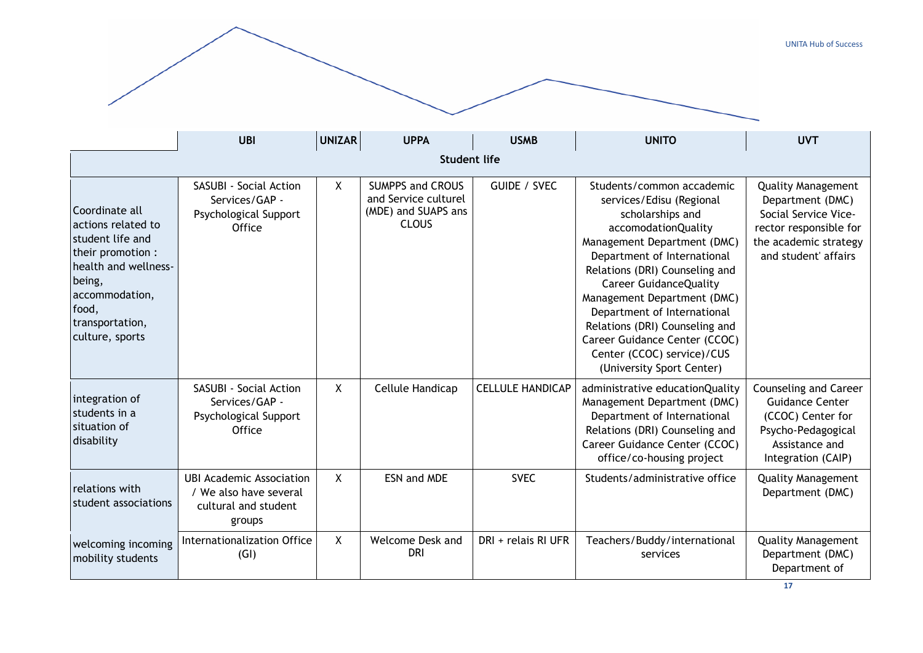|                                                                                                                                                                                  |                                                                                             |               |                                                                                        |                         |                                                                                                                                                                                                                                                                                                                                                                                                                               | <b>UNITA Hub of Success</b>                                                                                                                      |
|----------------------------------------------------------------------------------------------------------------------------------------------------------------------------------|---------------------------------------------------------------------------------------------|---------------|----------------------------------------------------------------------------------------|-------------------------|-------------------------------------------------------------------------------------------------------------------------------------------------------------------------------------------------------------------------------------------------------------------------------------------------------------------------------------------------------------------------------------------------------------------------------|--------------------------------------------------------------------------------------------------------------------------------------------------|
|                                                                                                                                                                                  |                                                                                             |               |                                                                                        |                         |                                                                                                                                                                                                                                                                                                                                                                                                                               |                                                                                                                                                  |
|                                                                                                                                                                                  | <b>UBI</b>                                                                                  | <b>UNIZAR</b> | <b>UPPA</b>                                                                            | <b>USMB</b>             | <b>UNITO</b>                                                                                                                                                                                                                                                                                                                                                                                                                  | <b>UVT</b>                                                                                                                                       |
|                                                                                                                                                                                  |                                                                                             |               | <b>Student life</b>                                                                    |                         |                                                                                                                                                                                                                                                                                                                                                                                                                               |                                                                                                                                                  |
| Coordinate all<br>actions related to<br>student life and<br>their promotion :<br>health and wellness-<br>being,<br>accommodation,<br>food,<br>transportation,<br>culture, sports | <b>SASUBI - Social Action</b><br>Services/GAP -<br>Psychological Support<br>Office          | X             | <b>SUMPPS and CROUS</b><br>and Service culturel<br>(MDE) and SUAPS ans<br><b>CLOUS</b> | <b>GUIDE / SVEC</b>     | Students/common accademic<br>services/Edisu (Regional<br>scholarships and<br>accomodationQuality<br>Management Department (DMC)<br>Department of International<br>Relations (DRI) Counseling and<br><b>Career GuidanceQuality</b><br>Management Department (DMC)<br>Department of International<br>Relations (DRI) Counseling and<br>Career Guidance Center (CCOC)<br>Center (CCOC) service)/CUS<br>(University Sport Center) | <b>Quality Management</b><br>Department (DMC)<br>Social Service Vice-<br>rector responsible for<br>the academic strategy<br>and student' affairs |
| integration of<br>students in a<br>situation of<br>disability                                                                                                                    | SASUBI - Social Action<br>Services/GAP -<br>Psychological Support<br>Office                 | $\mathsf{X}$  | Cellule Handicap                                                                       | <b>CELLULE HANDICAP</b> | administrative educationQuality<br>Management Department (DMC)<br>Department of International<br>Relations (DRI) Counseling and<br>Career Guidance Center (CCOC)<br>office/co-housing project                                                                                                                                                                                                                                 | <b>Counseling and Career</b><br><b>Guidance Center</b><br>(CCOC) Center for<br>Psycho-Pedagogical<br>Assistance and<br>Integration (CAIP)        |
| relations with<br>student associations                                                                                                                                           | <b>UBI Academic Association</b><br>/ We also have several<br>cultural and student<br>groups | X             | <b>ESN and MDE</b>                                                                     | <b>SVEC</b>             | Students/administrative office                                                                                                                                                                                                                                                                                                                                                                                                | <b>Quality Management</b><br>Department (DMC)                                                                                                    |
| welcoming incoming<br>mobility students                                                                                                                                          | <b>Internationalization Office</b><br>(GI)                                                  | X             | Welcome Desk and<br><b>DRI</b>                                                         | DRI + relais RI UFR     | Teachers/Buddy/international<br>services                                                                                                                                                                                                                                                                                                                                                                                      | <b>Quality Management</b><br>Department (DMC)<br>Department of                                                                                   |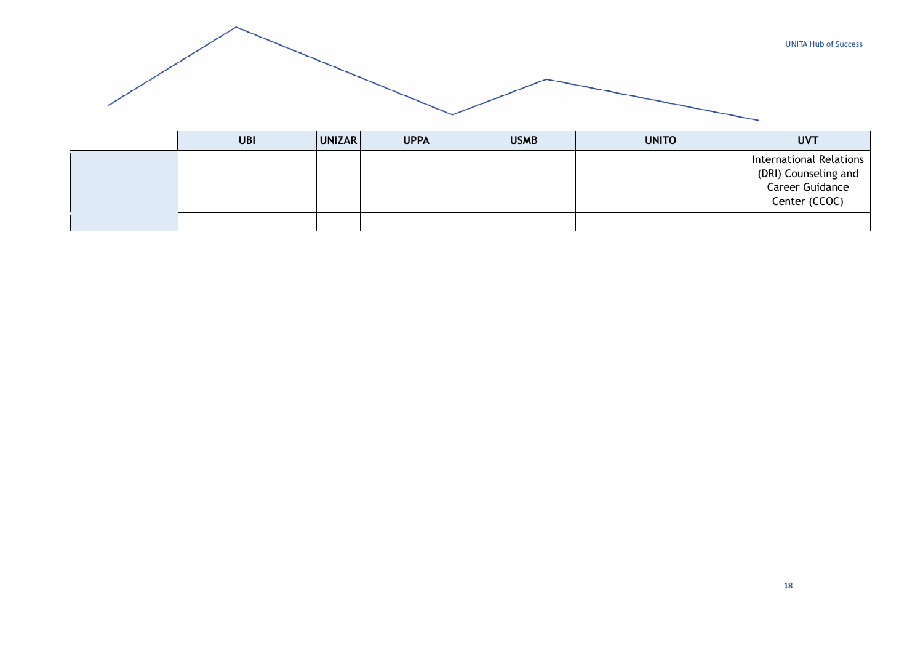|            |               |             |             |              | <b>UNITA Hub of Success</b>                                                                |
|------------|---------------|-------------|-------------|--------------|--------------------------------------------------------------------------------------------|
| <b>UBI</b> | <b>UNIZAR</b> | <b>UPPA</b> | <b>USMB</b> | <b>UNITO</b> | <b>UVT</b>                                                                                 |
|            |               |             |             |              | <b>International Relations</b><br>(DRI) Counseling and<br>Career Guidance<br>Center (CCOC) |
|            |               |             |             |              |                                                                                            |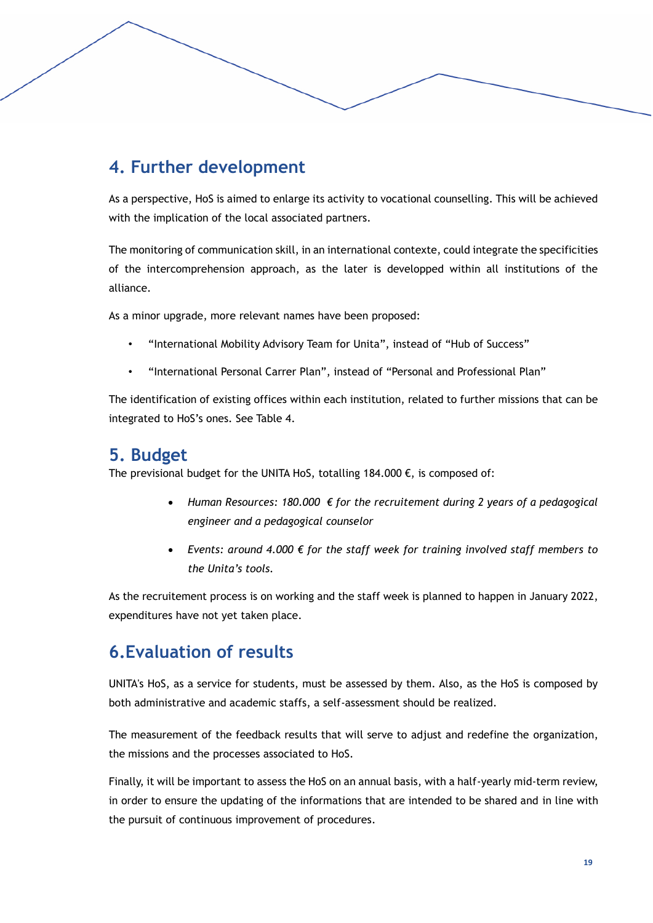# **4. Further development**

As a perspective, HoS is aimed to enlarge its activity to vocational counselling. This will be achieved with the implication of the local associated partners.

The monitoring of communication skill, in an international contexte, could integrate the specificities of the intercomprehension approach, as the later is developped within all institutions of the alliance.

As a minor upgrade, more relevant names have been proposed:

- "International Mobility Advisory Team for Unita", instead of "Hub of Success"
- "International Personal Carrer Plan", instead of "Personal and Professional Plan"

The identification of existing offices within each institution, related to further missions that can be integrated to HoS's ones. See Table 4.

### **5. Budget**

The previsional budget for the UNITA HoS, totalling 184.000  $\epsilon$ , is composed of:

- *Human Resources: 180.000 € for the recruitement during 2 years of a pedagogical engineer and a pedagogical counselor*
- *Events: around 4.000 € for the staff week for training involved staff members to the Unita's tools.*

As the recruitement process is on working and the staff week is planned to happen in January 2022, expenditures have not yet taken place.

# **6.Evaluation of results**

UNITA's HoS, as a service for students, must be assessed by them. Also, as the HoS is composed by both administrative and academic staffs, a self-assessment should be realized.

The measurement of the feedback results that will serve to adjust and redefine the organization, the missions and the processes associated to HoS.

Finally, it will be important to assess the HoS on an annual basis, with a half-yearly mid-term review, in order to ensure the updating of the informations that are intended to be shared and in line with the pursuit of continuous improvement of procedures.